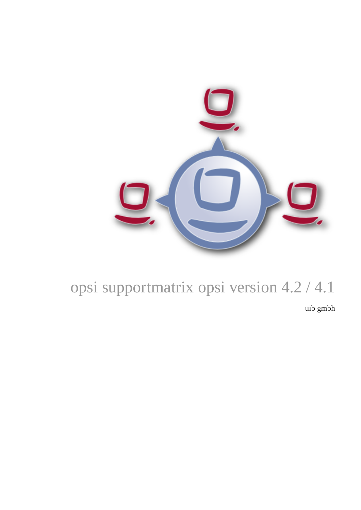

# opsi supportmatrix opsi version 4.2 / 4.1

uib gmbh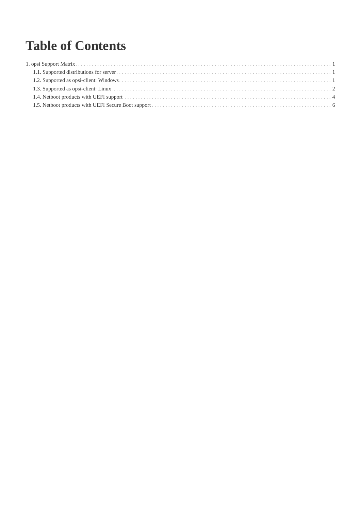## **Table of Contents**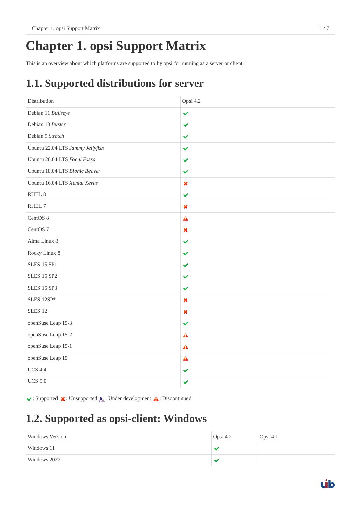## <span id="page-2-0"></span>**Chapter 1. opsi Support Matrix**

This is an overview about which platforms are supported to by opsi for running as a server or client.

## <span id="page-2-1"></span>**1.1. Supported distributions for server**

| Distribution                     | Opsi 4.2                  |
|----------------------------------|---------------------------|
| Debian 11 Bullseye               | $\checkmark$              |
| Debian 10 Buster                 | $\checkmark$              |
| Debian 9 Stretch                 | $\checkmark$              |
| Ubuntu 22.04 LTS Jammy Jellyfish | ✔                         |
| Ubuntu 20.04 LTS Focal Fossa     | $\checkmark$              |
| Ubuntu 18.04 LTS Bionic Beaver   | ✔                         |
| Ubuntu 16.04 LTS Xenial Xerus    | $\pmb{\times}$            |
| RHEL <sub>8</sub>                | $\checkmark$              |
| RHEL 7                           | $\boldsymbol{\mathsf{x}}$ |
| CentOS 8                         | $\triangle$               |
| CentOS <sub>7</sub>              | $\boldsymbol{\mathsf{x}}$ |
| Alma Linux 8                     | $\checkmark$              |
| Rocky Linux 8                    | $\checkmark$              |
| <b>SLES 15 SP1</b>               | $\checkmark$              |
| <b>SLES 15 SP2</b>               | $\checkmark$              |
| <b>SLES 15 SP3</b>               | ✔                         |
| SLES 12SP*                       | $\pmb{\times}$            |
| <b>SLES 12</b>                   | $\pmb{\times}$            |
| openSuse Leap 15-3               | $\checkmark$              |
| openSuse Leap 15-2               | $\blacktriangle$          |
| openSuse Leap 15-1               | $\blacktriangle$          |
| openSuse Leap 15                 | $\blacktriangle$          |
| <b>UCS 4.4</b>                   | ✔                         |
| <b>UCS 5.0</b>                   | $\blacktriangledown$      |

 $\blacktriangleright$ : Supported  $\blacktriangleright$ : Unsupported  $\lambda$ : Under development  $\Lambda$ : Discontinued

### <span id="page-2-2"></span>**1.2. Supported as opsi-client: Windows**

| Windows Version | Opsi 4.2 | Opsi 4.1 |
|-----------------|----------|----------|
| Windows 11      |          |          |
| Windows 2022    |          |          |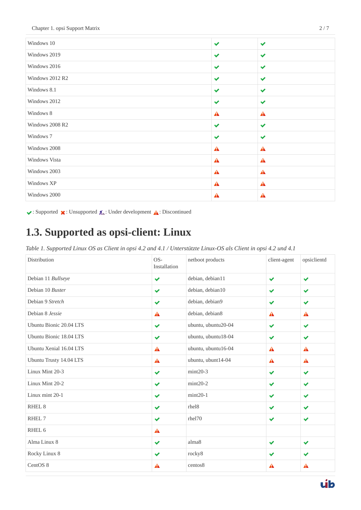| Windows 10      | $\checkmark$     | $\checkmark$         |
|-----------------|------------------|----------------------|
| Windows 2019    | $\checkmark$     | $\blacktriangledown$ |
| Windows 2016    | $\checkmark$     | $\checkmark$         |
| Windows 2012 R2 | $\checkmark$     | $\blacktriangledown$ |
| Windows 8.1     | $\checkmark$     | $\checkmark$         |
| Windows 2012    | $\checkmark$     | $\checkmark$         |
| Windows 8       | A                | A                    |
| Windows 2008 R2 | $\checkmark$     | $\checkmark$         |
| Windows 7       | $\checkmark$     | $\checkmark$         |
| Windows 2008    | A                | A                    |
| Windows Vista   | $\blacktriangle$ | $\blacktriangle$     |
| Windows 2003    | $\blacktriangle$ | $\blacktriangle$     |
| Windows XP      | $\blacktriangle$ | A                    |
| Windows 2000    | ▲                | A                    |

 $\blacktriangleright$ : Supported  $\blacktriangleright$ : Unsupported  $\triangle$ : Under development  $\triangle$ : Discontinued

### <span id="page-3-0"></span>**1.3. Supported as opsi-client: Linux**

*Table 1. Supported Linux OS as Client in opsi 4.2 and 4.1 / Unterstützte Linux-OS als Client in opsi 4.2 und 4.1*

| Distribution            | $OS-$<br>Installation | netboot products    | client-agent         | opsiclientd          |
|-------------------------|-----------------------|---------------------|----------------------|----------------------|
| Debian 11 Bullseye      | $\checkmark$          | debian, debian11    | $\blacktriangledown$ | $\checkmark$         |
| Debian 10 Buster        | $\checkmark$          | debian, debian10    | $\checkmark$         | $\checkmark$         |
| Debian 9 Stretch        | $\checkmark$          | debian, debian9     | $\blacktriangledown$ | $\blacktriangledown$ |
| Debian 8 Jessie         | $\blacktriangle$      | debian, debian8     | A                    | A                    |
| Ubuntu Bionic 20.04 LTS | $\checkmark$          | ubuntu, ubuntu20-04 | $\checkmark$         | $\checkmark$         |
| Ubuntu Bionic 18.04 LTS | $\checkmark$          | ubuntu, ubuntu18-04 | $\blacktriangledown$ | $\checkmark$         |
| Ubuntu Xenial 16.04 LTS | Â                     | ubuntu, ubuntu16-04 | A                    | A                    |
| Ubuntu Trusty 14.04 LTS | A                     | ubuntu, ubunt14-04  | A                    | A                    |
| Linux Mint 20-3         | $\checkmark$          | $mint20-3$          | $\checkmark$         | $\blacktriangledown$ |
| Linux Mint 20-2         | $\blacktriangledown$  | $mint20-2$          | $\checkmark$         | $\blacktriangledown$ |
| Linux mint 20-1         | ✔                     | $min20-1$           | $\checkmark$         | $\blacktriangledown$ |
| RHEL <sub>8</sub>       | ✔                     | rhel8               | $\checkmark$         | ✔                    |
| RHEL 7                  | $\checkmark$          | rhel70              | $\checkmark$         | $\checkmark$         |
| RHEL 6                  | A                     |                     |                      |                      |
| Alma Linux 8            | ✔                     | alma <sub>8</sub>   | $\checkmark$         | ✔                    |
| Rocky Linux 8           | ✔                     | rocky8              | $\checkmark$         | ✔                    |
| CentOS 8                | A                     | centos8             | A                    | A                    |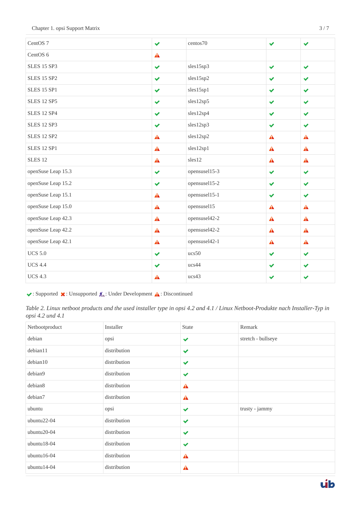| CentOS <sub>7</sub> | $\checkmark$     | centos70      | $\checkmark$         | $\checkmark$         |
|---------------------|------------------|---------------|----------------------|----------------------|
| CentOS <sub>6</sub> | $\blacktriangle$ |               |                      |                      |
| <b>SLES 15 SP3</b>  | $\checkmark$     | sles15sp3     | $\blacktriangledown$ | $\blacktriangledown$ |
| <b>SLES 15 SP2</b>  | $\checkmark$     | sles15sp2     | $\blacktriangledown$ | $\checkmark$         |
| <b>SLES 15 SP1</b>  | $\checkmark$     | sles15sp1     | $\blacktriangledown$ | $\checkmark$         |
| <b>SLES 12 SP5</b>  | $\checkmark$     | sles12sp5     | $\checkmark$         | $\checkmark$         |
| <b>SLES 12 SP4</b>  | $\checkmark$     | sles12sp4     | $\blacktriangledown$ | $\checkmark$         |
| <b>SLES 12 SP3</b>  | $\checkmark$     | sles12sp3     | $\checkmark$         | $\checkmark$         |
| <b>SLES 12 SP2</b>  | $\blacktriangle$ | sles12sp2     | $\blacktriangle$     | $\blacktriangle$     |
| <b>SLES 12 SP1</b>  | $\mathbf{A}$     | sles12sp1     | A                    | $\blacktriangle$     |
| SLES <sub>12</sub>  | $\blacktriangle$ | sles12        | $\blacktriangle$     | $\blacktriangle$     |
| openSuse Leap 15.3  | $\checkmark$     | opensuse115-3 | $\checkmark$         | ✔                    |
| openSuse Leap 15.2  | $\checkmark$     | opensuse115-2 | $\checkmark$         | $\checkmark$         |
| openSuse Leap 15.1  | $\triangle$      | opensusel15-1 | $\blacktriangledown$ | $\checkmark$         |
| openSuse Leap 15.0  | $\blacktriangle$ | opensusel15   | Â                    | $\blacktriangle$     |
| openSuse Leap 42.3  | $\mathbf{A}$     | opensusel42-2 | $\blacktriangle$     | A                    |
| openSuse Leap 42.2  | $\mathbf{A}$     | opensusel42-2 | $\blacktriangle$     | $\blacktriangle$     |
| openSuse Leap 42.1  | $\blacktriangle$ | opensusel42-1 | $\blacktriangle$     | $\blacktriangle$     |
| <b>UCS 5.0</b>      | $\checkmark$     | ucs50         | $\blacktriangledown$ | $\checkmark$         |
| <b>UCS 4.4</b>      | $\checkmark$     | ucs44         | $\blacktriangledown$ | $\checkmark$         |
| <b>UCS 4.3</b>      | A                | ucs43         | ✔                    | ✔                    |

 $\blacktriangleright$ : Supported  $\blacktriangleright$ : Unsupported  $\mathcal{R}_\blacktriangleright$ : Under Development  $\blacktriangle$ : Discontinued

*Table 2. Linux netboot products and the used installer type in opsi 4.2 and 4.1 / Linux Netboot-Produkte nach Installer-Typ in opsi 4.2 und 4.1*

| Netbootproduct | Installer    | State                | Remark             |
|----------------|--------------|----------------------|--------------------|
| debian         | opsi         | $\checkmark$         | stretch - bullseye |
| debian11       | distribution | $\checkmark$         |                    |
| debian10       | distribution | $\blacktriangledown$ |                    |
| debian9        | distribution | $\blacktriangledown$ |                    |
| debian8        | distribution | $\blacktriangle$     |                    |
| debian7        | distribution | $\blacktriangle$     |                    |
| ubuntu         | opsi         | $\checkmark$         | trusty - jammy     |
| ubuntu22-04    | distribution | $\blacktriangledown$ |                    |
| ubuntu20-04    | distribution | $\blacktriangledown$ |                    |
| $ubuntu18-04$  | distribution | $\blacktriangledown$ |                    |
| $ubuntu16-04$  | distribution | $\blacktriangle$     |                    |
| ubuntu14-04    | distribution | A                    |                    |

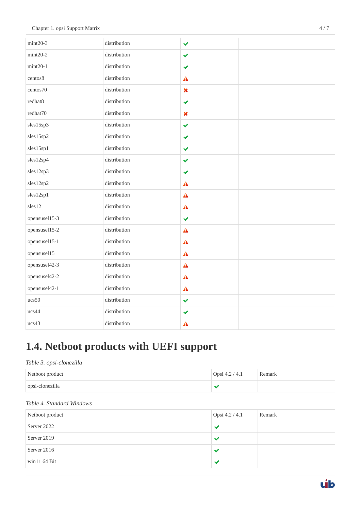| $mint20-3$    | distribution | $\checkmark$     |  |
|---------------|--------------|------------------|--|
| $mint20-2$    | distribution | ✔                |  |
| $mint20-1$    | distribution | ✔                |  |
| centos8       | distribution | ▲                |  |
| centos70      | distribution | $\pmb{\times}$   |  |
| redhat8       | distribution | ✔                |  |
| redhat70      | distribution | $\pmb{\times}$   |  |
| sles15sp3     | distribution | $\checkmark$     |  |
| sles15sp2     | distribution | ✔                |  |
| sles15sp1     | distribution | $\checkmark$     |  |
| sles12sp4     | distribution | ✔                |  |
| sles12sp3     | distribution | $\checkmark$     |  |
| sles12sp2     | distribution | $\blacktriangle$ |  |
| sles12sp1     | distribution | $\blacktriangle$ |  |
| sles12        | distribution | $\blacktriangle$ |  |
| opensusel15-3 | distribution | $\checkmark$     |  |
| opensusel15-2 | distribution | $\triangle$      |  |
| opensusel15-1 | distribution | $\blacktriangle$ |  |
| opensusel15   | distribution | $\blacktriangle$ |  |
| opensusel42-3 | distribution | $\blacktriangle$ |  |
| opensusel42-2 | distribution | $\blacktriangle$ |  |
| opensusel42-1 | distribution | $\triangle$      |  |
| ucs50         | distribution | $\checkmark$     |  |
| ucs44         | distribution | $\checkmark$     |  |
| ucs43         | distribution | ▲                |  |

## <span id="page-5-0"></span>**1.4. Netboot products with UEFI support**

#### *Table 3. opsi-clonezilla*

| Netboot product | Opsi 4.2 / 4.1 | Remark |
|-----------------|----------------|--------|
| opsi-clonezilla |                |        |

#### *Table 4. Standard Windows*

| Netboot product | Opsi 4.2 / 4.1 | Remark |
|-----------------|----------------|--------|
| Server 2022     |                |        |
| Server 2019     |                |        |
| Server 2016     |                |        |
| win11 $64$ Bit  |                |        |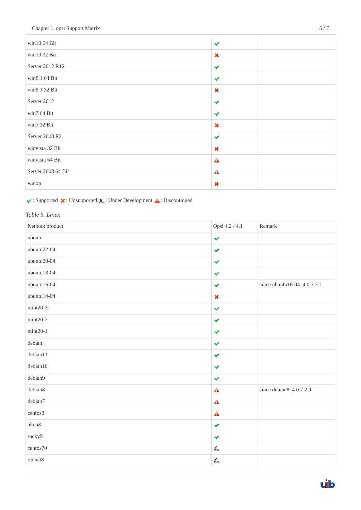| win10 $64$ Bit     | $\checkmark$              |  |
|--------------------|---------------------------|--|
| win10 32 Bit       | $\boldsymbol{\mathsf{x}}$ |  |
| Server 2012 R12    | $\checkmark$              |  |
| win8.1 64 Bit      | $\checkmark$              |  |
| win8.1 32 Bit      | $\boldsymbol{\mathsf{x}}$ |  |
| Server 2012        | $\checkmark$              |  |
| win7 64 Bit        | $\checkmark$              |  |
| win7 32 Bit        | $\boldsymbol{\mathsf{x}}$ |  |
| Server 2008 R2     | $\checkmark$              |  |
| winvista 32 Bit    | $\boldsymbol{\mathsf{x}}$ |  |
| winvista 64 Bit    | $\blacktriangle$          |  |
| Server 2008 64 Bit | $\blacktriangle$          |  |
| winxp              | $\boldsymbol{\mathsf{x}}$ |  |

#### $\blacktriangleright$ : Supported  $\blacktriangleright$ : Unsupported  $\mathcal{R}_\blacktriangleright$ : Under Development  $\blacktriangle$ : Discontinued

#### *Table 5. Linux*

| Netboot product         | Opsi 4.2 / 4.1       | Remark                      |
|-------------------------|----------------------|-----------------------------|
| ubuntu                  | $\checkmark$         |                             |
| ubuntu22-04             | $\blacktriangledown$ |                             |
| ubuntu20-04             | $\checkmark$         |                             |
| ubuntu18-04             | $\checkmark$         |                             |
| $ubuntu16-04$           | $\blacktriangledown$ | since ubuntu16-04_4.0.7.2-1 |
| ubuntu14-04             | $\pmb{\times}$       |                             |
| $mint20-3$              | $\checkmark$         |                             |
| $mint20-2$              | $\checkmark$         |                             |
| $min20-1$               | $\checkmark$         |                             |
| debian                  | $\checkmark$         |                             |
| debian11                | $\checkmark$         |                             |
| debian10                | $\blacktriangledown$ |                             |
| debian9                 | $\checkmark$         |                             |
| debian8                 | $\triangle$          | since debian8_4.0.7.2-1     |
| debian7                 | $\triangle$          |                             |
| centos8                 | $\mathbf{A}$         |                             |
| $\text{alma}\textbf{8}$ | $\blacktriangledown$ |                             |
| rocky9                  | $\checkmark$         |                             |
| centos70                | $\chi$               |                             |
| redhat8                 | $\lambda$            |                             |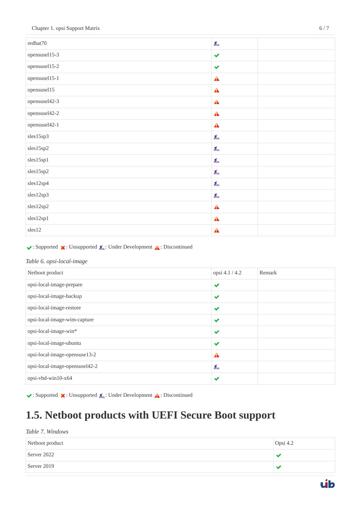| redhat70      | $\chi_{\rm m}$       |
|---------------|----------------------|
| opensuse115-3 | $\blacktriangledown$ |
| opensuse115-2 | $\blacktriangledown$ |
| opensuse115-1 | $\triangle$          |
| opensusel15   | $\mathbf{A}$         |
| opensusel42-3 | $\mathbf{A}$         |
| opensusel42-2 | $\blacktriangle$     |
| opensusel42-1 | $\mathbf{A}$         |
| sles15sp3     | 瓜                    |
| sles15sp2     | $\chi$               |
| sles15sp1     | $\chi$               |
| sles15sp2     | $\chi$               |
| sles12sp4     | $\chi_{-}$           |
| sles12sp3     | 瓜                    |
| sles12sp2     | $\mathbf{A}$         |
| sles12sp1     | $\blacktriangle$     |
| sles12        | $\triangle$          |

 $\blacktriangleright$ : Supported  $\blacktriangleright$ : Unsupported  $\mathcal{R}_\blacktriangle$ : Under Development  $\blacktriangle$ : Discontinued

#### *Table 6. opsi-local-image*

| Netboot product                | opsi 4.1 / 4.2       | Remark |
|--------------------------------|----------------------|--------|
| opsi-local-image-prepare       | $\checkmark$         |        |
| opsi-local-image-backup        | $\checkmark$         |        |
| opsi-local-image-restore       | $\checkmark$         |        |
| opsi-local-image-wim-capture   | $\checkmark$         |        |
| opsi-local-image-win*          | ✔                    |        |
| opsi-local-image-ubuntu        | $\blacktriangledown$ |        |
| opsi-local-image-opensuse13-2  | A                    |        |
| opsi-local-image-opensusel42-2 | 瓜                    |        |
| opsi-vhd-win10-x64             | $\checkmark$         |        |

 $\blacktriangleright$ : Supported  $\blacktriangleright$ : Unsupported  $\mathcal{A}$ : Under Development  $\blacktriangle$ : Discontinued

## <span id="page-7-0"></span>**1.5. Netboot products with UEFI Secure Boot support**

#### *Table 7. Windows*

| Netboot product | Opsi 4.2 |
|-----------------|----------|
| Server 2022     |          |
| Server 2019     |          |